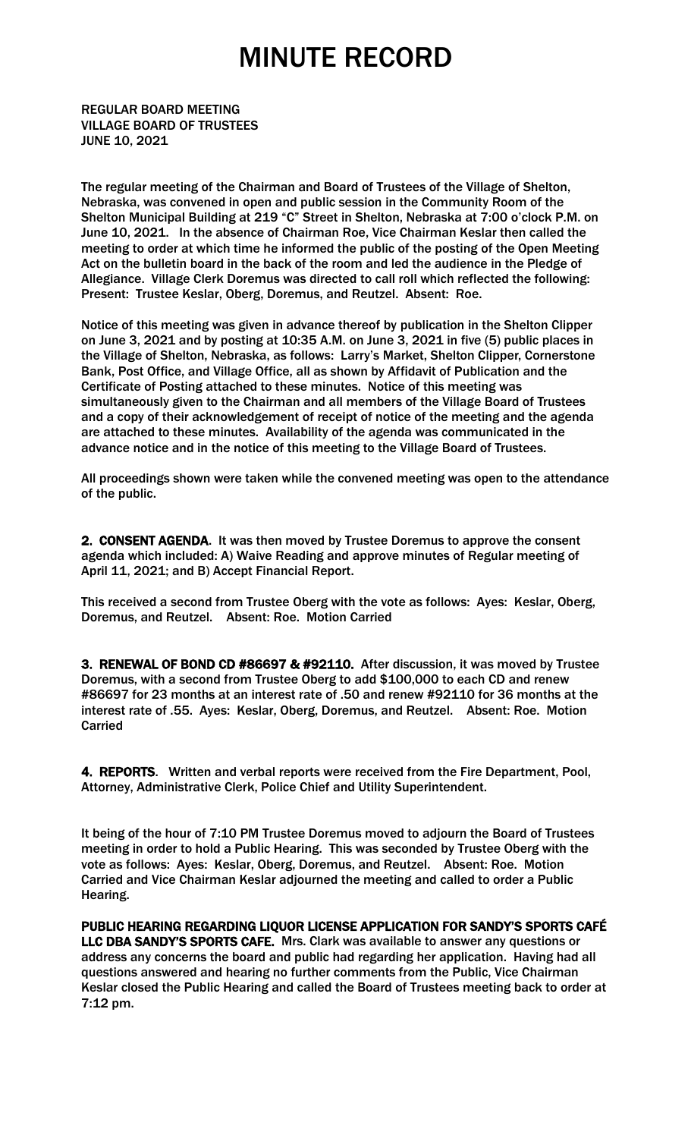REGULAR BOARD MEETING VILLAGE BOARD OF TRUSTEES JUNE 10, 2021

The regular meeting of the Chairman and Board of Trustees of the Village of Shelton, Nebraska, was convened in open and public session in the Community Room of the Shelton Municipal Building at 219 "C" Street in Shelton, Nebraska at 7:00 o'clock P.M. on June 10, 2021. In the absence of Chairman Roe, Vice Chairman Keslar then called the meeting to order at which time he informed the public of the posting of the Open Meeting Act on the bulletin board in the back of the room and led the audience in the Pledge of Allegiance. Village Clerk Doremus was directed to call roll which reflected the following: Present: Trustee Keslar, Oberg, Doremus, and Reutzel. Absent: Roe.

Notice of this meeting was given in advance thereof by publication in the Shelton Clipper on June 3, 2021 and by posting at 10:35 A.M. on June 3, 2021 in five (5) public places in the Village of Shelton, Nebraska, as follows: Larry's Market, Shelton Clipper, Cornerstone Bank, Post Office, and Village Office, all as shown by Affidavit of Publication and the Certificate of Posting attached to these minutes. Notice of this meeting was simultaneously given to the Chairman and all members of the Village Board of Trustees and a copy of their acknowledgement of receipt of notice of the meeting and the agenda are attached to these minutes. Availability of the agenda was communicated in the advance notice and in the notice of this meeting to the Village Board of Trustees.

All proceedings shown were taken while the convened meeting was open to the attendance of the public.

2. CONSENT AGENDA. It was then moved by Trustee Doremus to approve the consent agenda which included: A) Waive Reading and approve minutes of Regular meeting of April 11, 2021; and B) Accept Financial Report.

This received a second from Trustee Oberg with the vote as follows: Ayes: Keslar, Oberg, Doremus, and Reutzel. Absent: Roe. Motion Carried

3. RENEWAL OF BOND CD #86697 & #92110. After discussion, it was moved by Trustee Doremus, with a second from Trustee Oberg to add \$100,000 to each CD and renew #86697 for 23 months at an interest rate of .50 and renew #92110 for 36 months at the interest rate of .55. Ayes: Keslar, Oberg, Doremus, and Reutzel. Absent: Roe. Motion Carried

4. REPORTS. Written and verbal reports were received from the Fire Department, Pool, Attorney, Administrative Clerk, Police Chief and Utility Superintendent.

It being of the hour of 7:10 PM Trustee Doremus moved to adjourn the Board of Trustees meeting in order to hold a Public Hearing. This was seconded by Trustee Oberg with the vote as follows: Ayes: Keslar, Oberg, Doremus, and Reutzel. Absent: Roe. Motion Carried and Vice Chairman Keslar adjourned the meeting and called to order a Public Hearing.

PUBLIC HEARING REGARDING LIQUOR LICENSE APPLICATION FOR SANDY'S SPORTS CAFÉ LLC DBA SANDY'S SPORTS CAFE. Mrs. Clark was available to answer any questions or address any concerns the board and public had regarding her application. Having had all questions answered and hearing no further comments from the Public, Vice Chairman Keslar closed the Public Hearing and called the Board of Trustees meeting back to order at 7:12 pm.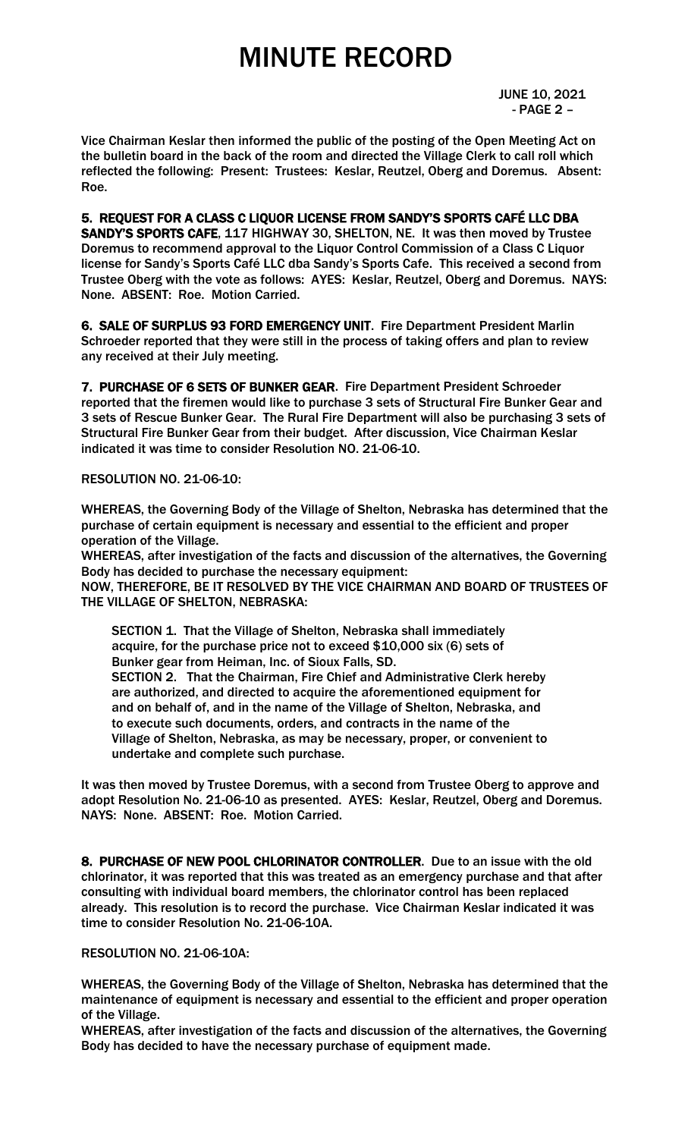JUNE 10, 2021 - PAGE 2 –

Vice Chairman Keslar then informed the public of the posting of the Open Meeting Act on the bulletin board in the back of the room and directed the Village Clerk to call roll which reflected the following: Present: Trustees: Keslar, Reutzel, Oberg and Doremus. Absent: Roe.

5. REQUEST FOR A CLASS C LIQUOR LICENSE FROM SANDY'S SPORTS CAFÉ LLC DBA SANDY'S SPORTS CAFE, 117 HIGHWAY 30, SHELTON, NE. It was then moved by Trustee Doremus to recommend approval to the Liquor Control Commission of a Class C Liquor license for Sandy's Sports Café LLC dba Sandy's Sports Cafe. This received a second from Trustee Oberg with the vote as follows: AYES: Keslar, Reutzel, Oberg and Doremus. NAYS: None. ABSENT: Roe. Motion Carried.

6. SALE OF SURPLUS 93 FORD EMERGENCY UNIT. Fire Department President Marlin Schroeder reported that they were still in the process of taking offers and plan to review any received at their July meeting.

7. PURCHASE OF 6 SETS OF BUNKER GEAR. Fire Department President Schroeder reported that the firemen would like to purchase 3 sets of Structural Fire Bunker Gear and 3 sets of Rescue Bunker Gear. The Rural Fire Department will also be purchasing 3 sets of Structural Fire Bunker Gear from their budget. After discussion, Vice Chairman Keslar indicated it was time to consider Resolution NO. 21-06-10.

### RESOLUTION NO. 21-06-10:

WHEREAS, the Governing Body of the Village of Shelton, Nebraska has determined that the purchase of certain equipment is necessary and essential to the efficient and proper operation of the Village.

WHEREAS, after investigation of the facts and discussion of the alternatives, the Governing Body has decided to purchase the necessary equipment:

NOW, THEREFORE, BE IT RESOLVED BY THE VICE CHAIRMAN AND BOARD OF TRUSTEES OF THE VILLAGE OF SHELTON, NEBRASKA:

 SECTION 1. That the Village of Shelton, Nebraska shall immediately acquire, for the purchase price not to exceed \$10,000 six (6) sets of Bunker gear from Heiman, Inc. of Sioux Falls, SD. SECTION 2. That the Chairman, Fire Chief and Administrative Clerk hereby are authorized, and directed to acquire the aforementioned equipment for and on behalf of, and in the name of the Village of Shelton, Nebraska, and to execute such documents, orders, and contracts in the name of the Village of Shelton, Nebraska, as may be necessary, proper, or convenient to undertake and complete such purchase.

It was then moved by Trustee Doremus, with a second from Trustee Oberg to approve and adopt Resolution No. 21-06-10 as presented. AYES: Keslar, Reutzel, Oberg and Doremus. NAYS: None. ABSENT: Roe. Motion Carried.

8. PURCHASE OF NEW POOL CHLORINATOR CONTROLLER. Due to an issue with the old chlorinator, it was reported that this was treated as an emergency purchase and that after consulting with individual board members, the chlorinator control has been replaced already. This resolution is to record the purchase. Vice Chairman Keslar indicated it was time to consider Resolution No. 21-06-10A.

RESOLUTION NO. 21-06-10A:

WHEREAS, the Governing Body of the Village of Shelton, Nebraska has determined that the maintenance of equipment is necessary and essential to the efficient and proper operation of the Village.

WHEREAS, after investigation of the facts and discussion of the alternatives, the Governing Body has decided to have the necessary purchase of equipment made.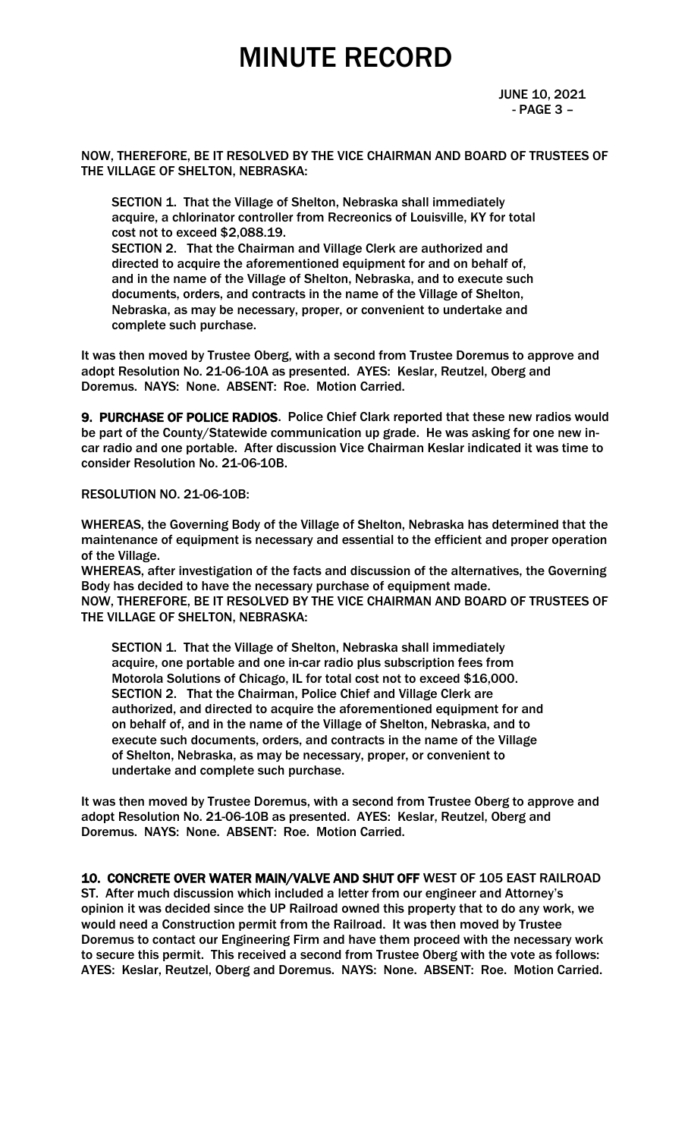JUNE 10, 2021 - PAGE 3 –

NOW, THEREFORE, BE IT RESOLVED BY THE VICE CHAIRMAN AND BOARD OF TRUSTEES OF THE VILLAGE OF SHELTON, NEBRASKA:

 SECTION 1. That the Village of Shelton, Nebraska shall immediately acquire, a chlorinator controller from Recreonics of Louisville, KY for total cost not to exceed \$2,088.19. SECTION 2. That the Chairman and Village Clerk are authorized and directed to acquire the aforementioned equipment for and on behalf of, and in the name of the Village of Shelton, Nebraska, and to execute such documents, orders, and contracts in the name of the Village of Shelton, Nebraska, as may be necessary, proper, or convenient to undertake and complete such purchase.

It was then moved by Trustee Oberg, with a second from Trustee Doremus to approve and adopt Resolution No. 21-06-10A as presented. AYES: Keslar, Reutzel, Oberg and Doremus. NAYS: None. ABSENT: Roe. Motion Carried.

9. PURCHASE OF POLICE RADIOS. Police Chief Clark reported that these new radios would be part of the County/Statewide communication up grade. He was asking for one new incar radio and one portable. After discussion Vice Chairman Keslar indicated it was time to consider Resolution No. 21-06-10B.

RESOLUTION NO. 21-06-10B:

WHEREAS, the Governing Body of the Village of Shelton, Nebraska has determined that the maintenance of equipment is necessary and essential to the efficient and proper operation of the Village.

WHEREAS, after investigation of the facts and discussion of the alternatives, the Governing Body has decided to have the necessary purchase of equipment made. NOW, THEREFORE, BE IT RESOLVED BY THE VICE CHAIRMAN AND BOARD OF TRUSTEES OF THE VILLAGE OF SHELTON, NEBRASKA:

 SECTION 1. That the Village of Shelton, Nebraska shall immediately acquire, one portable and one in-car radio plus subscription fees from Motorola Solutions of Chicago, IL for total cost not to exceed \$16,000. SECTION 2. That the Chairman, Police Chief and Village Clerk are authorized, and directed to acquire the aforementioned equipment for and on behalf of, and in the name of the Village of Shelton, Nebraska, and to execute such documents, orders, and contracts in the name of the Village of Shelton, Nebraska, as may be necessary, proper, or convenient to undertake and complete such purchase.

It was then moved by Trustee Doremus, with a second from Trustee Oberg to approve and adopt Resolution No. 21-06-10B as presented. AYES: Keslar, Reutzel, Oberg and Doremus. NAYS: None. ABSENT: Roe. Motion Carried.

10. CONCRETE OVER WATER MAIN/VALVE AND SHUT OFF WEST OF 105 EAST RAILROAD ST. After much discussion which included a letter from our engineer and Attorney's opinion it was decided since the UP Railroad owned this property that to do any work, we would need a Construction permit from the Railroad. It was then moved by Trustee Doremus to contact our Engineering Firm and have them proceed with the necessary work to secure this permit. This received a second from Trustee Oberg with the vote as follows: AYES: Keslar, Reutzel, Oberg and Doremus. NAYS: None. ABSENT: Roe. Motion Carried.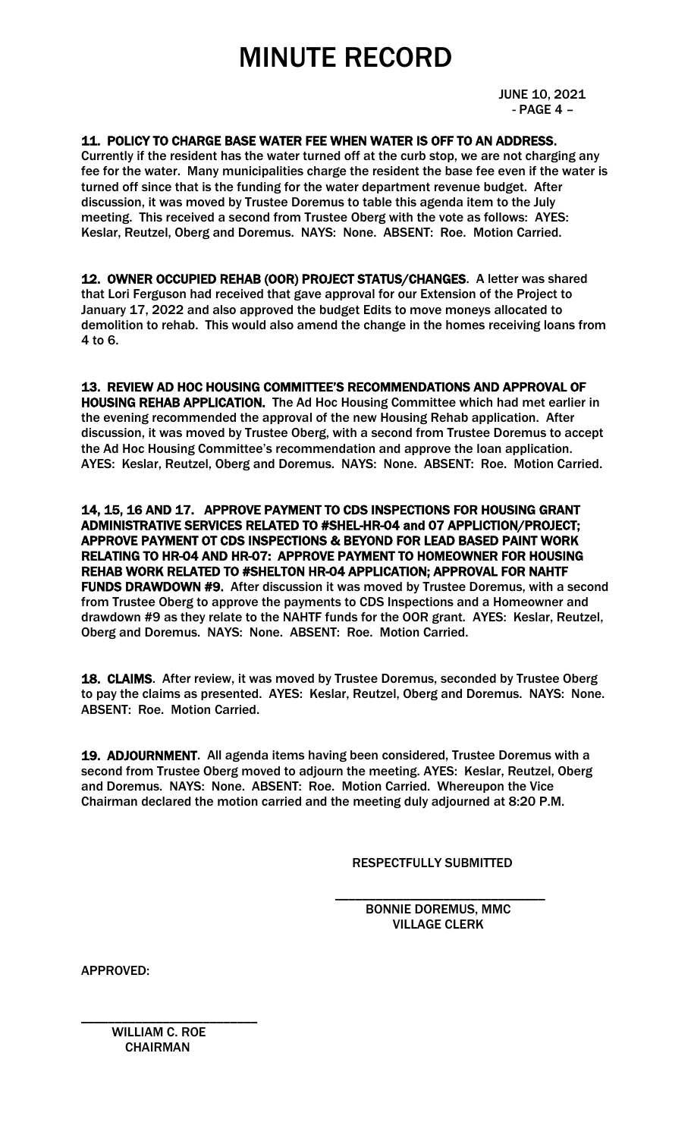JUNE 10, 2021 - PAGE 4 –

### 11. POLICY TO CHARGE BASE WATER FEE WHEN WATER IS OFF TO AN ADDRESS.

Currently if the resident has the water turned off at the curb stop, we are not charging any fee for the water. Many municipalities charge the resident the base fee even if the water is turned off since that is the funding for the water department revenue budget. After discussion, it was moved by Trustee Doremus to table this agenda item to the July meeting. This received a second from Trustee Oberg with the vote as follows: AYES: Keslar, Reutzel, Oberg and Doremus. NAYS: None. ABSENT: Roe. Motion Carried.

12. OWNER OCCUPIED REHAB (OOR) PROJECT STATUS/CHANGES. A letter was shared that Lori Ferguson had received that gave approval for our Extension of the Project to January 17, 2022 and also approved the budget Edits to move moneys allocated to demolition to rehab. This would also amend the change in the homes receiving loans from 4 to 6.

13. REVIEW AD HOC HOUSING COMMITTEE'S RECOMMENDATIONS AND APPROVAL OF HOUSING REHAB APPLICATION. The Ad Hoc Housing Committee which had met earlier in the evening recommended the approval of the new Housing Rehab application. After discussion, it was moved by Trustee Oberg, with a second from Trustee Doremus to accept the Ad Hoc Housing Committee's recommendation and approve the loan application. AYES: Keslar, Reutzel, Oberg and Doremus. NAYS: None. ABSENT: Roe. Motion Carried.

14, 15, 16 AND 17. APPROVE PAYMENT TO CDS INSPECTIONS FOR HOUSING GRANT ADMINISTRATIVE SERVICES RELATED TO #SHEL-HR-04 and 07 APPLICTION/PROJECT; APPROVE PAYMENT OT CDS INSPECTIONS & BEYOND FOR LEAD BASED PAINT WORK RELATING TO HR-04 AND HR-07: APPROVE PAYMENT TO HOMEOWNER FOR HOUSING REHAB WORK RELATED TO #SHELTON HR-04 APPLICATION; APPROVAL FOR NAHTF FUNDS DRAWDOWN #9. After discussion it was moved by Trustee Doremus, with a second from Trustee Oberg to approve the payments to CDS Inspections and a Homeowner and drawdown #9 as they relate to the NAHTF funds for the OOR grant. AYES: Keslar, Reutzel, Oberg and Doremus. NAYS: None. ABSENT: Roe. Motion Carried.

18. CLAIMS. After review, it was moved by Trustee Doremus, seconded by Trustee Oberg to pay the claims as presented. AYES: Keslar, Reutzel, Oberg and Doremus. NAYS: None. ABSENT: Roe. Motion Carried.

19. ADJOURNMENT. All agenda items having been considered, Trustee Doremus with a second from Trustee Oberg moved to adjourn the meeting. AYES: Keslar, Reutzel, Oberg and Doremus. NAYS: None. ABSENT: Roe. Motion Carried. Whereupon the Vice Chairman declared the motion carried and the meeting duly adjourned at 8:20 P.M.

RESPECTFULLY SUBMITTED

 $\overline{\phantom{a}}$  , and the contract of the contract of the contract of the contract of the contract of the contract of the contract of the contract of the contract of the contract of the contract of the contract of the contrac BONNIE DOREMUS, MMC VILLAGE CLERK

APPROVED:

\_\_\_\_\_\_\_\_\_\_\_\_\_\_\_\_\_\_\_\_\_\_\_\_\_\_ WILLIAM C. ROE **CHAIRMAN**